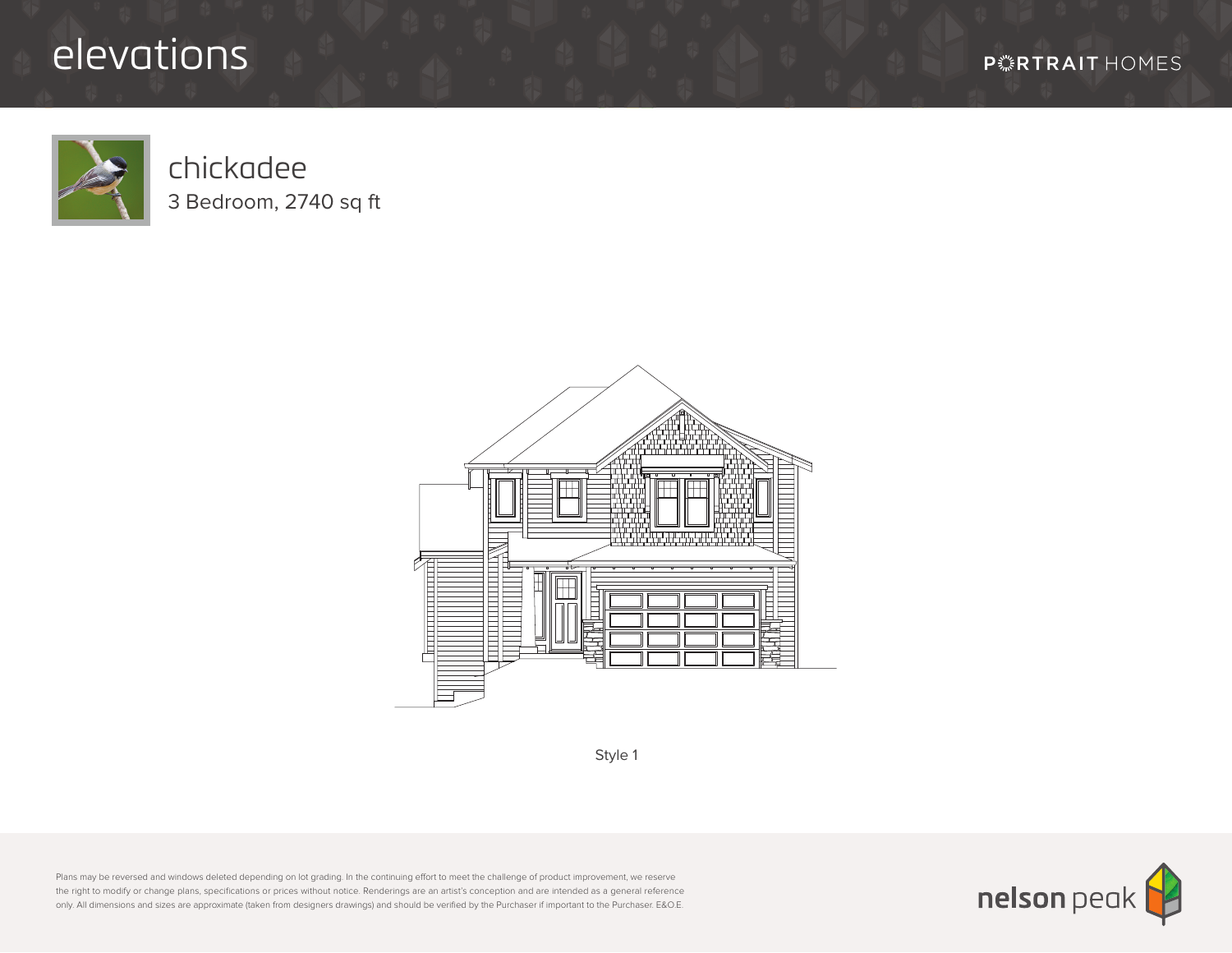## elevations



## chickadee 3 Bedroom, 2740 sq ft



Style 1

Plans may be reversed and windows deleted depending on lot grading. In the continuing effort to meet the challenge of product improvement, we reserve the right to modify or change plans, specifications or prices without notice. Renderings are an artist's conception and are intended as a general reference only. All dimensions and sizes are approximate (taken from designers drawings) and should be verified by the Purchaser if important to the Purchaser. E&O.E.